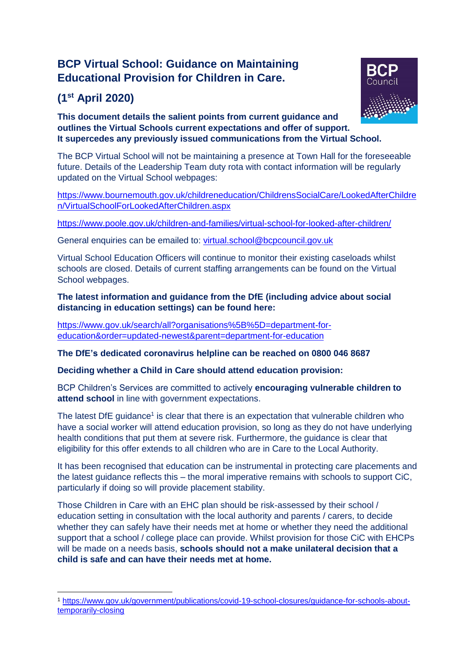# **BCP Virtual School: Guidance on Maintaining Educational Provision for Children in Care.**

# **(1 st April 2020)**



**This document details the salient points from current guidance and outlines the Virtual Schools current expectations and offer of support. It supercedes any previously issued communications from the Virtual School.**

The BCP Virtual School will not be maintaining a presence at Town Hall for the foreseeable future. Details of the Leadership Team duty rota with contact information will be regularly updated on the Virtual School webpages:

[https://www.bournemouth.gov.uk/childreneducation/ChildrensSocialCare/LookedAfterChildre](https://www.bournemouth.gov.uk/childreneducation/ChildrensSocialCare/LookedAfterChildren/VirtualSchoolForLookedAfterChildren.aspx) [n/VirtualSchoolForLookedAfterChildren.aspx](https://www.bournemouth.gov.uk/childreneducation/ChildrensSocialCare/LookedAfterChildren/VirtualSchoolForLookedAfterChildren.aspx)

<https://www.poole.gov.uk/children-and-families/virtual-school-for-looked-after-children/>

General enquiries can be emailed to: [virtual.school@bcpcouncil.gov.uk](mailto:virtual.school@bcpcouncil.gov.uk)

Virtual School Education Officers will continue to monitor their existing caseloads whilst schools are closed. Details of current staffing arrangements can be found on the Virtual School webpages.

**The latest information and guidance from the DfE (including advice about social distancing in education settings) can be found here:**

[https://www.gov.uk/search/all?organisations%5B%5D=department-for](https://www.gov.uk/search/all?organisations%5B%5D=department-for-education&order=updated-newest&parent=department-for-education)[education&order=updated-newest&parent=department-for-education](https://www.gov.uk/search/all?organisations%5B%5D=department-for-education&order=updated-newest&parent=department-for-education)

**The DfE's dedicated coronavirus helpline can be reached on 0800 046 8687**

**Deciding whether a Child in Care should attend education provision:**

BCP Children's Services are committed to actively **encouraging vulnerable children to attend school** in line with government expectations.

The latest DfE guidance<sup>1</sup> is clear that there is an expectation that vulnerable children who have a social worker will attend education provision, so long as they do not have underlying health conditions that put them at severe risk. Furthermore, the guidance is clear that eligibility for this offer extends to all children who are in Care to the Local Authority.

It has been recognised that education can be instrumental in protecting care placements and the latest guidance reflects this – the moral imperative remains with schools to support CiC, particularly if doing so will provide placement stability.

Those Children in Care with an EHC plan should be risk-assessed by their school / education setting in consultation with the local authority and parents / carers, to decide whether they can safely have their needs met at home or whether they need the additional support that a school / college place can provide. Whilst provision for those CiC with EHCPs will be made on a needs basis, **schools should not a make unilateral decision that a child is safe and can have their needs met at home.**

<sup>1</sup> <sup>1</sup> [https://www.gov.uk/government/publications/covid-19-school-closures/guidance-for-schools-about](https://www.gov.uk/government/publications/covid-19-school-closures/guidance-for-schools-about-temporarily-closing)[temporarily-closing](https://www.gov.uk/government/publications/covid-19-school-closures/guidance-for-schools-about-temporarily-closing)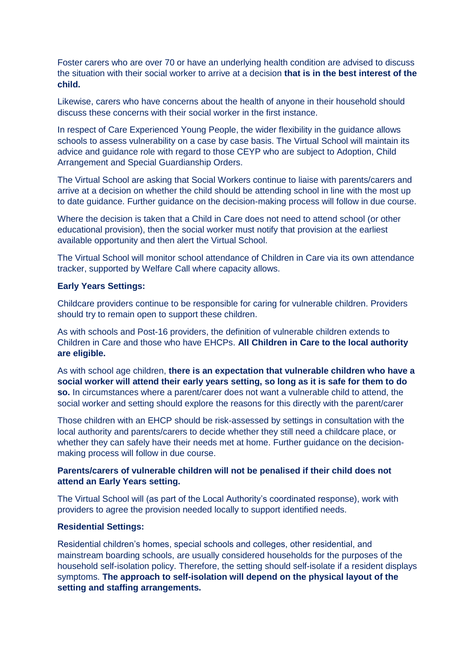Foster carers who are over 70 or have an underlying health condition are advised to discuss the situation with their social worker to arrive at a decision **that is in the best interest of the child.**

Likewise, carers who have concerns about the health of anyone in their household should discuss these concerns with their social worker in the first instance.

In respect of Care Experienced Young People, the wider flexibility in the guidance allows schools to assess vulnerability on a case by case basis. The Virtual School will maintain its advice and guidance role with regard to those CEYP who are subject to Adoption, Child Arrangement and Special Guardianship Orders.

The Virtual School are asking that Social Workers continue to liaise with parents/carers and arrive at a decision on whether the child should be attending school in line with the most up to date guidance. Further guidance on the decision-making process will follow in due course.

Where the decision is taken that a Child in Care does not need to attend school (or other educational provision), then the social worker must notify that provision at the earliest available opportunity and then alert the Virtual School.

The Virtual School will monitor school attendance of Children in Care via its own attendance tracker, supported by Welfare Call where capacity allows.

#### **Early Years Settings:**

Childcare providers continue to be responsible for caring for vulnerable children. Providers should try to remain open to support these children.

As with schools and Post-16 providers, the definition of vulnerable children extends to Children in Care and those who have EHCPs. **All Children in Care to the local authority are eligible.**

As with school age children, **there is an expectation that vulnerable children who have a social worker will attend their early years setting, so long as it is safe for them to do so.** In circumstances where a parent/carer does not want a vulnerable child to attend, the social worker and setting should explore the reasons for this directly with the parent/carer

Those children with an EHCP should be risk-assessed by settings in consultation with the local authority and parents/carers to decide whether they still need a childcare place, or whether they can safely have their needs met at home. Further guidance on the decisionmaking process will follow in due course.

# **Parents/carers of vulnerable children will not be penalised if their child does not attend an Early Years setting.**

The Virtual School will (as part of the Local Authority's coordinated response), work with providers to agree the provision needed locally to support identified needs.

#### **Residential Settings:**

Residential children's homes, special schools and colleges, other residential, and mainstream boarding schools, are usually considered households for the purposes of the household self-isolation policy. Therefore, the setting should self-isolate if a resident displays symptoms. **The approach to self-isolation will depend on the physical layout of the setting and staffing arrangements.**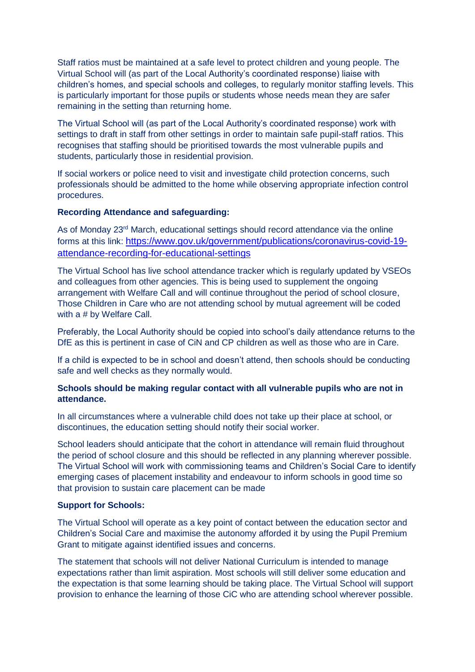Staff ratios must be maintained at a safe level to protect children and young people. The Virtual School will (as part of the Local Authority's coordinated response) liaise with children's homes, and special schools and colleges, to regularly monitor staffing levels. This is particularly important for those pupils or students whose needs mean they are safer remaining in the setting than returning home.

The Virtual School will (as part of the Local Authority's coordinated response) work with settings to draft in staff from other settings in order to maintain safe pupil-staff ratios. This recognises that staffing should be prioritised towards the most vulnerable pupils and students, particularly those in residential provision.

If social workers or police need to visit and investigate child protection concerns, such professionals should be admitted to the home while observing appropriate infection control procedures.

#### **Recording Attendance and safeguarding:**

As of Monday 23<sup>rd</sup> March, educational settings should record attendance via the online forms at this link: [https://www.gov.uk/government/publications/coronavirus-covid-19](https://www.gov.uk/government/publications/coronavirus-covid-19-attendance-recording-for-educational-settings) [attendance-recording-for-educational-settings](https://www.gov.uk/government/publications/coronavirus-covid-19-attendance-recording-for-educational-settings)

The Virtual School has live school attendance tracker which is regularly updated by VSEOs and colleagues from other agencies. This is being used to supplement the ongoing arrangement with Welfare Call and will continue throughout the period of school closure, Those Children in Care who are not attending school by mutual agreement will be coded with a # by Welfare Call.

Preferably, the Local Authority should be copied into school's daily attendance returns to the DfE as this is pertinent in case of CiN and CP children as well as those who are in Care.

If a child is expected to be in school and doesn't attend, then schools should be conducting safe and well checks as they normally would.

# **Schools should be making regular contact with all vulnerable pupils who are not in attendance.**

In all circumstances where a vulnerable child does not take up their place at school, or discontinues, the education setting should notify their social worker.

School leaders should anticipate that the cohort in attendance will remain fluid throughout the period of school closure and this should be reflected in any planning wherever possible. The Virtual School will work with commissioning teams and Children's Social Care to identify emerging cases of placement instability and endeavour to inform schools in good time so that provision to sustain care placement can be made

#### **Support for Schools:**

The Virtual School will operate as a key point of contact between the education sector and Children's Social Care and maximise the autonomy afforded it by using the Pupil Premium Grant to mitigate against identified issues and concerns.

The statement that schools will not deliver National Curriculum is intended to manage expectations rather than limit aspiration. Most schools will still deliver some education and the expectation is that some learning should be taking place. The Virtual School will support provision to enhance the learning of those CiC who are attending school wherever possible.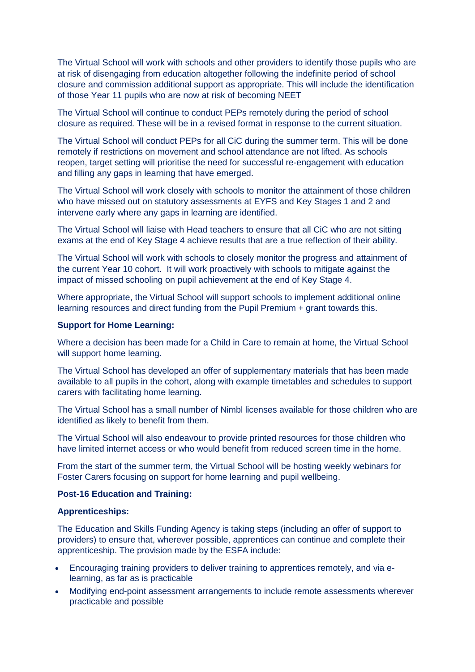The Virtual School will work with schools and other providers to identify those pupils who are at risk of disengaging from education altogether following the indefinite period of school closure and commission additional support as appropriate. This will include the identification of those Year 11 pupils who are now at risk of becoming NEET

The Virtual School will continue to conduct PEPs remotely during the period of school closure as required. These will be in a revised format in response to the current situation.

The Virtual School will conduct PEPs for all CiC during the summer term. This will be done remotely if restrictions on movement and school attendance are not lifted. As schools reopen, target setting will prioritise the need for successful re-engagement with education and filling any gaps in learning that have emerged.

The Virtual School will work closely with schools to monitor the attainment of those children who have missed out on statutory assessments at EYFS and Key Stages 1 and 2 and intervene early where any gaps in learning are identified.

The Virtual School will liaise with Head teachers to ensure that all CiC who are not sitting exams at the end of Key Stage 4 achieve results that are a true reflection of their ability.

The Virtual School will work with schools to closely monitor the progress and attainment of the current Year 10 cohort. It will work proactively with schools to mitigate against the impact of missed schooling on pupil achievement at the end of Key Stage 4.

Where appropriate, the Virtual School will support schools to implement additional online learning resources and direct funding from the Pupil Premium + grant towards this.

#### **Support for Home Learning:**

Where a decision has been made for a Child in Care to remain at home, the Virtual School will support home learning.

The Virtual School has developed an offer of supplementary materials that has been made available to all pupils in the cohort, along with example timetables and schedules to support carers with facilitating home learning.

The Virtual School has a small number of Nimbl licenses available for those children who are identified as likely to benefit from them.

The Virtual School will also endeavour to provide printed resources for those children who have limited internet access or who would benefit from reduced screen time in the home.

From the start of the summer term, the Virtual School will be hosting weekly webinars for Foster Carers focusing on support for home learning and pupil wellbeing.

#### **Post-16 Education and Training:**

#### **Apprenticeships:**

The Education and Skills Funding Agency is taking steps (including an offer of support to providers) to ensure that, wherever possible, apprentices can continue and complete their apprenticeship. The provision made by the ESFA include:

- Encouraging training providers to deliver training to apprentices remotely, and via elearning, as far as is practicable
- Modifying end-point assessment arrangements to include remote assessments wherever practicable and possible